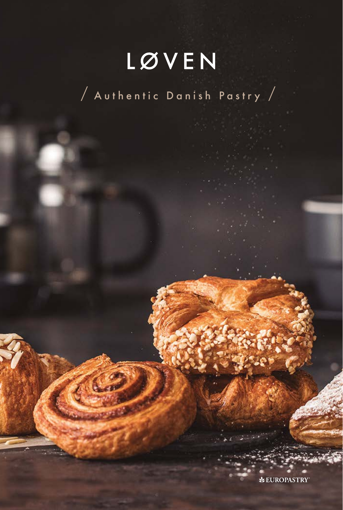# LØVEN

/ Authentic Danish Pastry /

**EUROPASTRY**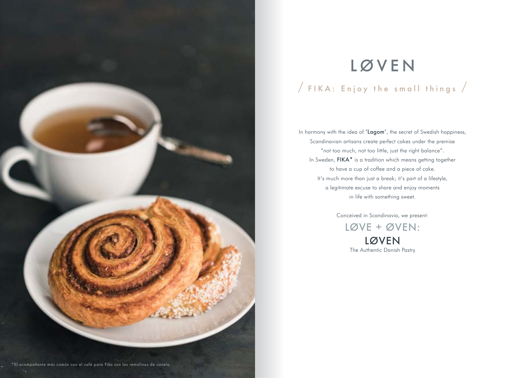

# LØVEN / FIKA : Enjoy the small things /

In harmony with the idea of 'Lagom', the secret of Swedish happiness, Scandinavian artisans create perfect cakes under the premise "not too much, not too little, just the right balance". In Sweden, FIKA<sup>\*</sup> is a tradition which means getting together to have a cup of coffee and a piece of cake. It's much more than just a break; it's part of a lifestyle, a legitimate excuse to share and enjoy moments in life with something sweet.

> Conceived in Scandinavia, we present: LØVE + ØVEN: LØVEN The Authentic Danish Pastry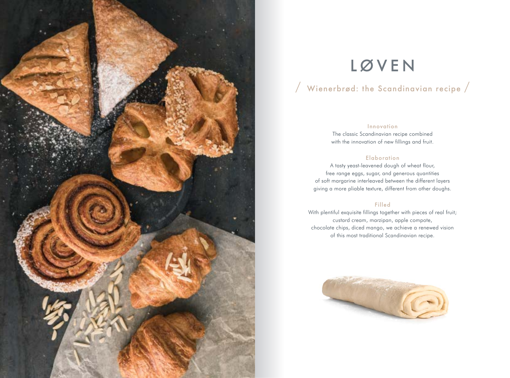

# LØVEN

### / Wienerbrød: the Scandinavian recipe /

#### Innovation

The classic Scandinavian recipe combined with the innovation of new fillings and fruit.

#### **Elaboration**

A tasty yeast-leavened dough of wheat flour, free range eggs, sugar, and generous quantities of soft margarine interleaved between the different layers giving a more pliable texture, different from other doughs.

#### Filled

With plentiful exquisite fillings together with pieces of real fruit; custard cream, marzipan, apple compote, chocolate chips, diced mango, we achieve a renewed vision of this most traditional Scandinavian recipe.

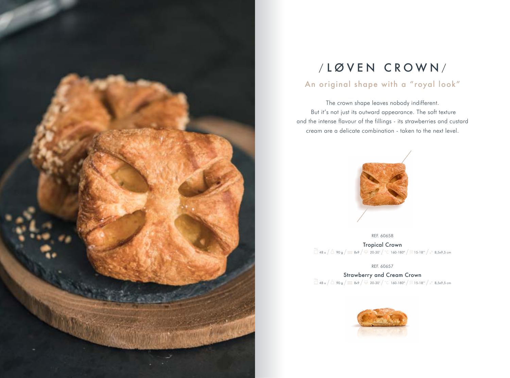

# / LØVEN CROWN /

### An original shape with a "royal look"

The crown shape leaves nobody indifferent. But it's not just its outward appearance. The soft texture and the intense flavour of the fillings - its strawberries and custard cream are a delicate combination - taken to the next level.



REF. 60658

Tropical Crown  $\frac{1}{\Box}$  48 u  $\big/$   $\Box$  90 g  $\big/$   $\equiv$  8x9  $\big/$   $\frac{1}{\degree}$  20-30'  $\big/$   $\degree$ C 160-180 $\degree$   $\big/$   $\frac{1}{\degree}$  15-18"  $\big/$   $\mathbb{Z}$  8,5x9,5 cm

REF. 60657

Strawberry and Cream Crown  $\Box$  48 u  $\angle$   $\Box$  90 g  $\angle$   $\equiv$  8x9  $\angle$   $\overline{\circ}$  20-30'  $\angle$  °C 160-180°  $\angle$  115-18"  $\angle$  8,5x9,5 cm

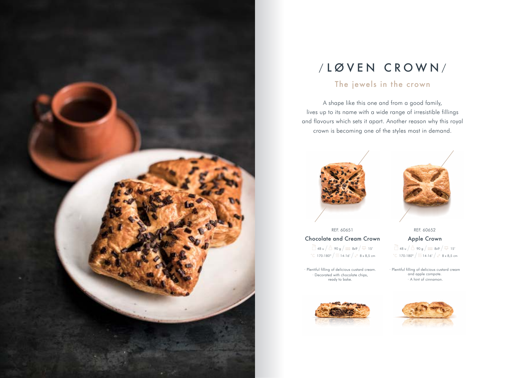

## / LØVEN CROWN /

### The jewels in the crown

A shape like this one and from a good family, lives up to its name with a wide range of irresistible fillings and flavours which sets it apart. Another reason why this royal crown is becoming one of the styles most in demand.



REF. 60651 Chocolate and Cream Crown  $48 \text{ u}$  /  $\Delta$  90 g /  $\equiv$  8x9 /  $\frac{1}{90}$  15' °C 170-180° /  $\frac{1}{3}$  14-16' /  $\sqrt{2}$  8 x 8,5 cm

· Plentiful filling of delicious custard cream. Decorated with chocolate chips, ready to bake.



REF. 60652

Apple Crown  $48 \text{ u}$  /  $\stackrel{?}{\bigcirc}$  90 g /  $\equiv$  8x9 /  $\stackrel{?}{\circ}$  15' °C 170-180° /  $\frac{1}{3}$  14-16' /  $\sqrt{2}$  8 x 8,5 cm

· Plentiful filling of delicious custard cream and apple compote. · A hint of cinnamon.



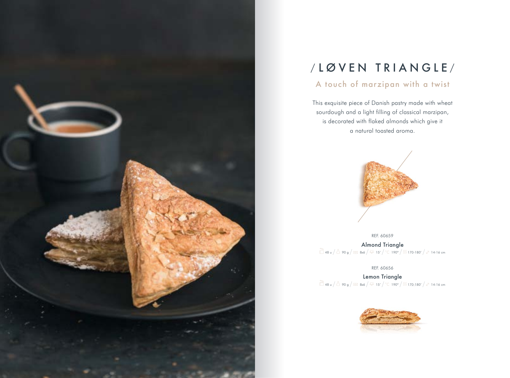

## / LØVEN TRIANGLE /

### A touch of marzipan with a twist

This exquisite piece of Danish pastry made with wheat sourdough and a light filling of classical marzipan, is decorated with flaked almonds which give it a natural toasted aroma.



REF. 60659 Almond Triangle  $\frac{1}{\Box}$  48 u  $\frac{1}{\Box}$  90 g  $\frac{1}{\Box}$  8x6  $\frac{1}{\degree}$  15'  $\frac{1}{\degree}$  ( 190 $\degree$  / 110-180'  $\frac{1}{\degree}$  14-16 cm

REF. 60656

Lemon Triangle  $\frac{1}{\Box}$  48 u  $\big/\stackrel{\triangle}{\Box}$  90 g  $\big/\equiv$  8x6  $\big/\stackrel{\infty}{\circ}$  15'  $\big/$  °C 190°  $\big/$   $\frac{1}{\Box}$  170-180'  $\big/$   $\stackrel{\triangleright}{\ll}$  14-16 cm

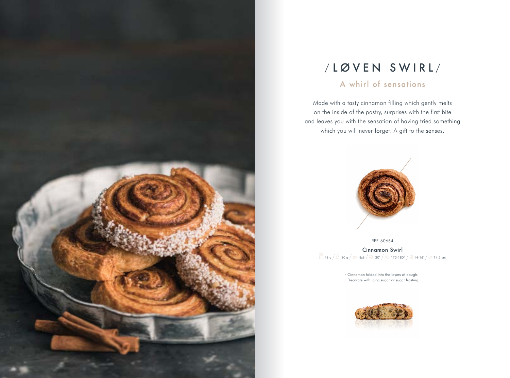

## / LØVEN SWIRL /

#### A whirl of sensations

Made with a tasty cinnamon filling which gently melts on the inside of the pastry, surprises with the first bite and leaves you with the sensation of having tried something which you will never forget. A gift to the senses.



REF. 60654 Cinnamon Swirl  $148 u / 680 g / \equiv 8x6 / 20' / 170.180° / 114.16' / 114.5 cm$ 

> · Cinnamon folded into the layers of dough. · Decorate with icing sugar or sugar frosting.

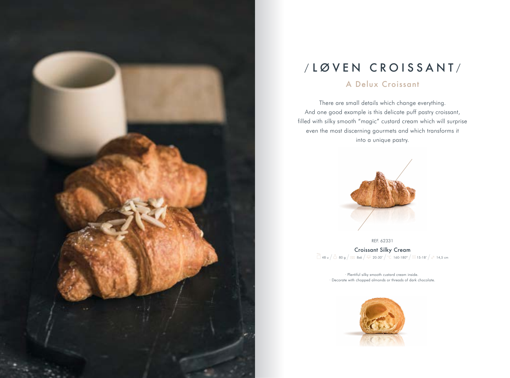

## / LØVEN CROISSANT/

#### A Delux Croissant

There are small details which change everything. And one good example is this delicate puff pastry croissant, filled with silky smooth "magic" custard cream which will surprise even the most discerning gourmets and which transforms it into a unique pastry.



REF. 62331 Croissant Silky Cream  $\frac{1}{\Box}$  48 u  $\big/$   $\frac{1}{\Box}$  80 g  $\big/$   $\equiv$  8x6  $\big/$   $\frac{1}{\degree}$  20-30'  $\big/$   $\degree$  160-180°  $\big/$   $\frac{1}{\Box}$  15-18'  $\big/$   $\mathbb{Z}$  14,5 cm

> · Plentiful silky smooth custard cream inside. · Decorate with chopped almonds or threads of dark chocolate.

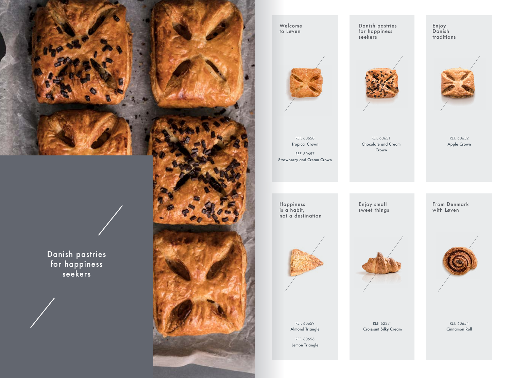

Danish pastries for happiness seekers



Welcome to Løven

REF. 60658 Tropical Crown REF. 60657 Strawberry and Cream Crown

Danish pastries for happiness seekers

Enjoy Danish traditions



REF. 60652 Apple Crown

Happiness is a habit, not a destination Enjoy small sweet things

REF. 60651 Chocolate and Cream Crown

> From Denmark with Løven



REF. 60659 Almond Triangle REF. 60656 Lemon Triangle



REF. 62331

Croissant Silky Cream

REF. 60654 Cinnamon Roll